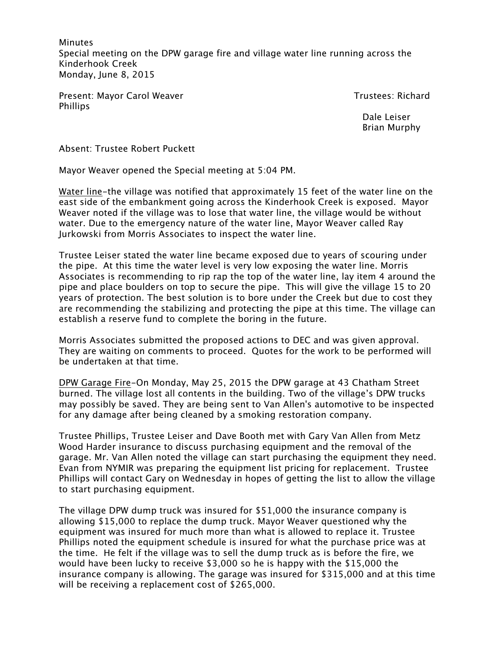**Minutes** Special meeting on the DPW garage fire and village water line running across the Kinderhook Creek Monday, June 8, 2015

Present: Mayor Carol Weaver Trustees: Richard Phillips

 Dale Leiser Brian Murphy

Absent: Trustee Robert Puckett

Mayor Weaver opened the Special meeting at 5:04 PM.

Water line-the village was notified that approximately 15 feet of the water line on the east side of the embankment going across the Kinderhook Creek is exposed. Mayor Weaver noted if the village was to lose that water line, the village would be without water. Due to the emergency nature of the water line, Mayor Weaver called Ray Jurkowski from Morris Associates to inspect the water line.

Trustee Leiser stated the water line became exposed due to years of scouring under the pipe. At this time the water level is very low exposing the water line. Morris Associates is recommending to rip rap the top of the water line, lay item 4 around the pipe and place boulders on top to secure the pipe. This will give the village 15 to 20 years of protection. The best solution is to bore under the Creek but due to cost they are recommending the stabilizing and protecting the pipe at this time. The village can establish a reserve fund to complete the boring in the future.

Morris Associates submitted the proposed actions to DEC and was given approval. They are waiting on comments to proceed. Quotes for the work to be performed will be undertaken at that time.

DPW Garage Fire-On Monday, May 25, 2015 the DPW garage at 43 Chatham Street burned. The village lost all contents in the building. Two of the village's DPW trucks may possibly be saved. They are being sent to Van Allen's automotive to be inspected for any damage after being cleaned by a smoking restoration company.

Trustee Phillips, Trustee Leiser and Dave Booth met with Gary Van Allen from Metz Wood Harder insurance to discuss purchasing equipment and the removal of the garage. Mr. Van Allen noted the village can start purchasing the equipment they need. Evan from NYMIR was preparing the equipment list pricing for replacement. Trustee Phillips will contact Gary on Wednesday in hopes of getting the list to allow the village to start purchasing equipment.

The village DPW dump truck was insured for \$51,000 the insurance company is allowing \$15,000 to replace the dump truck. Mayor Weaver questioned why the equipment was insured for much more than what is allowed to replace it. Trustee Phillips noted the equipment schedule is insured for what the purchase price was at the time. He felt if the village was to sell the dump truck as is before the fire, we would have been lucky to receive \$3,000 so he is happy with the \$15,000 the insurance company is allowing. The garage was insured for \$315,000 and at this time will be receiving a replacement cost of \$265,000.